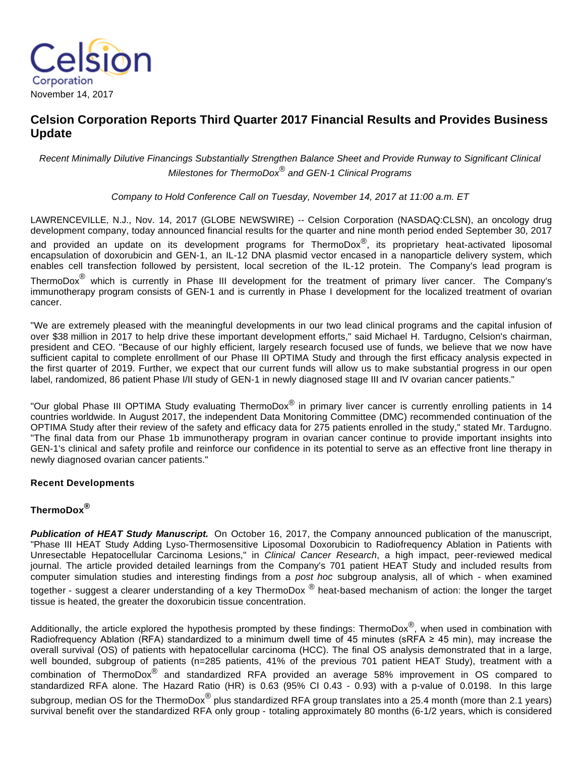

# **Celsion Corporation Reports Third Quarter 2017 Financial Results and Provides Business Update**

Recent Minimally Dilutive Financings Substantially Strengthen Balance Sheet and Provide Runway to Significant Clinical Milestones for ThermoDox® and GEN-1 Clinical Programs

Company to Hold Conference Call on Tuesday, November 14, 2017 at 11:00 a.m. ET

LAWRENCEVILLE, N.J., Nov. 14, 2017 (GLOBE NEWSWIRE) -- Celsion Corporation (NASDAQ:CLSN), an oncology drug development company, today announced financial results for the quarter and nine month period ended September 30, 2017 and provided an update on its development programs for ThermoDox<sup>®</sup>, its proprietary heat-activated liposomal encapsulation of doxorubicin and GEN-1, an IL-12 DNA plasmid vector encased in a nanoparticle delivery system, which enables cell transfection followed by persistent, local secretion of the IL-12 protein. The Company's lead program is ThermoDox<sup>®</sup> which is currently in Phase III development for the treatment of primary liver cancer. The Company's immunotherapy program consists of GEN-1 and is currently in Phase I development for the localized treatment of ovarian cancer.

"We are extremely pleased with the meaningful developments in our two lead clinical programs and the capital infusion of over \$38 million in 2017 to help drive these important development efforts," said Michael H. Tardugno, Celsion's chairman, president and CEO. "Because of our highly efficient, largely research focused use of funds, we believe that we now have sufficient capital to complete enrollment of our Phase III OPTIMA Study and through the first efficacy analysis expected in the first quarter of 2019. Further, we expect that our current funds will allow us to make substantial progress in our open label, randomized, 86 patient Phase I/II study of GEN-1 in newly diagnosed stage III and IV ovarian cancer patients."

"Our global Phase III OPTIMA Study evaluating ThermoDox<sup>®</sup> in primary liver cancer is currently enrolling patients in 14 countries worldwide. In August 2017, the independent Data Monitoring Committee (DMC) recommended continuation of the OPTIMA Study after their review of the safety and efficacy data for 275 patients enrolled in the study," stated Mr. Tardugno. "The final data from our Phase 1b immunotherapy program in ovarian cancer continue to provide important insights into GEN-1's clinical and safety profile and reinforce our confidence in its potential to serve as an effective front line therapy in newly diagnosed ovarian cancer patients."

### **Recent Developments**

## **ThermoDox®**

**Publication of HEAT Study Manuscript.** On October 16, 2017, the Company announced publication of the manuscript, "Phase III HEAT Study Adding Lyso-Thermosensitive Liposomal Doxorubicin to Radiofrequency Ablation in Patients with Unresectable Hepatocellular Carcinoma Lesions," in Clinical Cancer Research, a high impact, peer-reviewed medical journal. The article provided detailed learnings from the Company's 701 patient HEAT Study and included results from computer simulation studies and interesting findings from a post hoc subgroup analysis, all of which - when examined

together - suggest a clearer understanding of a key ThermoDox ® heat-based mechanism of action: the longer the target tissue is heated, the greater the doxorubicin tissue concentration.

Additionally, the article explored the hypothesis prompted by these findings: ThermoDox<sup>®</sup>, when used in combination with Radiofrequency Ablation (RFA) standardized to a minimum dwell time of 45 minutes (sRFA ≥ 45 min), may increase the overall survival (OS) of patients with hepatocellular carcinoma (HCC). The final OS analysis demonstrated that in a large, well bounded, subgroup of patients (n=285 patients, 41% of the previous 701 patient HEAT Study), treatment with a combination of ThermoDox® and standardized RFA provided an average 58% improvement in OS compared to standardized RFA alone. The Hazard Ratio (HR) is 0.63 (95% CI 0.43 - 0.93) with a p-value of 0.0198. In this large subgroup, median OS for the ThermoDox $^\circledR$  plus standardized RFA group translates into a 25.4 month (more than 2.1 years) survival benefit over the standardized RFA only group - totaling approximately 80 months (6-1/2 years, which is considered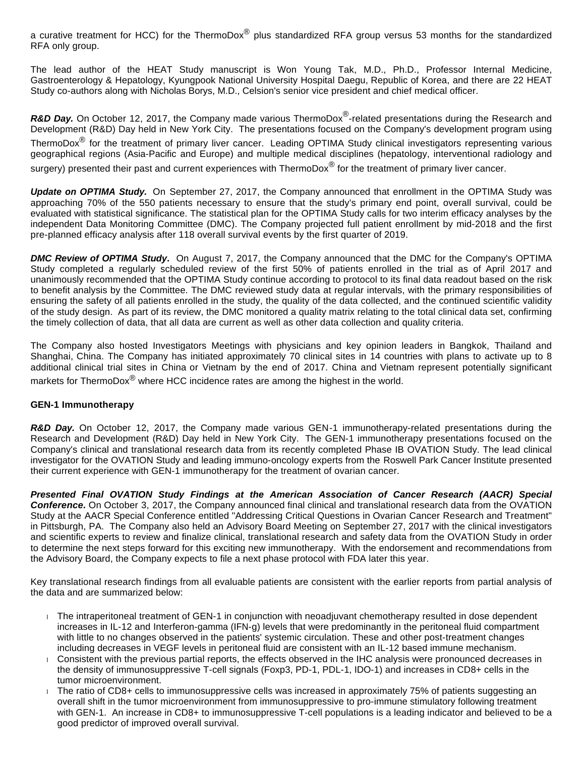a curative treatment for HCC) for the ThermoDox<sup>®</sup> plus standardized RFA group versus 53 months for the standardized RFA only group.

The lead author of the HEAT Study manuscript is Won Young Tak, M.D., Ph.D., Professor Internal Medicine, Gastroenterology & Hepatology, Kyungpook National University Hospital Daegu, Republic of Korea, and there are 22 HEAT Study co-authors along with Nicholas Borys, M.D., Celsion's senior vice president and chief medical officer.

R&D Day. On October 12, 2017, the Company made various ThermoDox<sup>®</sup>-related presentations during the Research and Development (R&D) Day held in New York City. The presentations focused on the Company's development program using ThermoDox® for the treatment of primary liver cancer. Leading OPTIMA Study clinical investigators representing various geographical regions (Asia-Pacific and Europe) and multiple medical disciplines (hepatology, interventional radiology and surgery) presented their past and current experiences with ThermoDox $^{\circledR}$  for the treatment of primary liver cancer.

**Update on OPTIMA Study.** On September 27, 2017, the Company announced that enrollment in the OPTIMA Study was approaching 70% of the 550 patients necessary to ensure that the study's primary end point, overall survival, could be evaluated with statistical significance. The statistical plan for the OPTIMA Study calls for two interim efficacy analyses by the independent Data Monitoring Committee (DMC). The Company projected full patient enrollment by mid-2018 and the first pre-planned efficacy analysis after 118 overall survival events by the first quarter of 2019.

**DMC Review of OPTIMA Study.** On August 7, 2017, the Company announced that the DMC for the Company's OPTIMA Study completed a regularly scheduled review of the first 50% of patients enrolled in the trial as of April 2017 and unanimously recommended that the OPTIMA Study continue according to protocol to its final data readout based on the risk to benefit analysis by the Committee. The DMC reviewed study data at regular intervals, with the primary responsibilities of ensuring the safety of all patients enrolled in the study, the quality of the data collected, and the continued scientific validity of the study design. As part of its review, the DMC monitored a quality matrix relating to the total clinical data set, confirming the timely collection of data, that all data are current as well as other data collection and quality criteria.

The Company also hosted Investigators Meetings with physicians and key opinion leaders in Bangkok, Thailand and Shanghai, China. The Company has initiated approximately 70 clinical sites in 14 countries with plans to activate up to 8 additional clinical trial sites in China or Vietnam by the end of 2017. China and Vietnam represent potentially significant markets for ThermoDox<sup>®</sup> where HCC incidence rates are among the highest in the world.

#### **GEN-1 Immunotherapy**

**R&D Day.** On October 12, 2017, the Company made various GEN-1 immunotherapy-related presentations during the Research and Development (R&D) Day held in New York City. The GEN-1 immunotherapy presentations focused on the Company's clinical and translational research data from its recently completed Phase IB OVATION Study. The lead clinical investigator for the OVATION Study and leading immuno-oncology experts from the Roswell Park Cancer Institute presented their current experience with GEN-1 immunotherapy for the treatment of ovarian cancer.

**Presented Final OVATION Study Findings at the American Association of Cancer Research (AACR) Special Conference.** On October 3, 2017, the Company announced final clinical and translational research data from the OVATION Study at the AACR Special Conference entitled "Addressing Critical Questions in Ovarian Cancer Research and Treatment" in Pittsburgh, PA. The Company also held an Advisory Board Meeting on September 27, 2017 with the clinical investigators and scientific experts to review and finalize clinical, translational research and safety data from the OVATION Study in order to determine the next steps forward for this exciting new immunotherapy. With the endorsement and recommendations from the Advisory Board, the Company expects to file a next phase protocol with FDA later this year.

Key translational research findings from all evaluable patients are consistent with the earlier reports from partial analysis of the data and are summarized below:

- The intraperitoneal treatment of GEN-1 in conjunction with neoadjuvant chemotherapy resulted in dose dependent increases in IL-12 and Interferon-gamma (IFN-g) levels that were predominantly in the peritoneal fluid compartment with little to no changes observed in the patients' systemic circulation. These and other post-treatment changes including decreases in VEGF levels in peritoneal fluid are consistent with an IL-12 based immune mechanism.
- Consistent with the previous partial reports, the effects observed in the IHC analysis were pronounced decreases in the density of immunosuppressive T-cell signals (Foxp3, PD-1, PDL-1, IDO-1) and increases in CD8+ cells in the tumor microenvironment.
- ↓ The ratio of CD8+ cells to immunosuppressive cells was increased in approximately 75% of patients suggesting an overall shift in the tumor microenvironment from immunosuppressive to pro-immune stimulatory following treatment with GEN-1. An increase in CD8+ to immunosuppressive T-cell populations is a leading indicator and believed to be a good predictor of improved overall survival.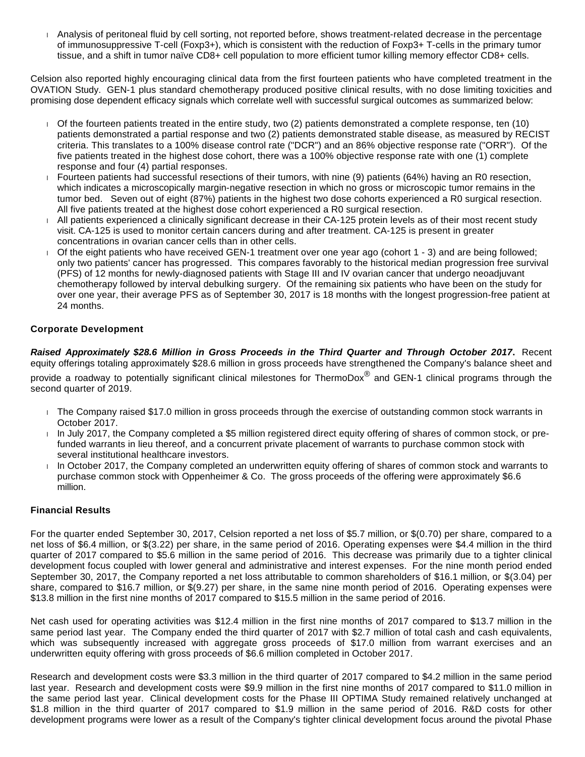Analysis of peritoneal fluid by cell sorting, not reported before, shows treatment-related decrease in the percentage of immunosuppressive T-cell (Foxp3+), which is consistent with the reduction of Foxp3+ T-cells in the primary tumor tissue, and a shift in tumor naïve CD8+ cell population to more efficient tumor killing memory effector CD8+ cells.

Celsion also reported highly encouraging clinical data from the first fourteen patients who have completed treatment in the OVATION Study. GEN-1 plus standard chemotherapy produced positive clinical results, with no dose limiting toxicities and promising dose dependent efficacy signals which correlate well with successful surgical outcomes as summarized below:

- Of the fourteen patients treated in the entire study, two (2) patients demonstrated a complete response, ten (10) patients demonstrated a partial response and two (2) patients demonstrated stable disease, as measured by RECIST criteria. This translates to a 100% disease control rate ("DCR") and an 86% objective response rate ("ORR"). Of the five patients treated in the highest dose cohort, there was a 100% objective response rate with one (1) complete response and four (4) partial responses.
- Fourteen patients had successful resections of their tumors, with nine (9) patients (64%) having an R0 resection, which indicates a microscopically margin-negative resection in which no gross or microscopic tumor remains in the tumor bed. Seven out of eight (87%) patients in the highest two dose cohorts experienced a R0 surgical resection. All five patients treated at the highest dose cohort experienced a R0 surgical resection.
- All patients experienced a clinically significant decrease in their CA-125 protein levels as of their most recent study visit. CA-125 is used to monitor certain cancers during and after treatment. CA-125 is present in greater concentrations in ovarian cancer cells than in other cells.
- Of the eight patients who have received GEN-1 treatment over one year ago (cohort 1 3) and are being followed; only two patients' cancer has progressed. This compares favorably to the historical median progression free survival (PFS) of 12 months for newly-diagnosed patients with Stage III and IV ovarian cancer that undergo neoadjuvant chemotherapy followed by interval debulking surgery. Of the remaining six patients who have been on the study for over one year, their average PFS as of September 30, 2017 is 18 months with the longest progression-free patient at 24 months.

## **Corporate Development**

**Raised Approximately \$28.6 Million in Gross Proceeds in the Third Quarter and Through October 2017.** Recent equity offerings totaling approximately \$28.6 million in gross proceeds have strengthened the Company's balance sheet and

provide a roadway to potentially significant clinical milestones for ThermoDox $^{\circledR}$  and GEN-1 clinical programs through the second quarter of 2019.

- The Company raised \$17.0 million in gross proceeds through the exercise of outstanding common stock warrants in October 2017.
- In July 2017, the Company completed a \$5 million registered direct equity offering of shares of common stock, or prefunded warrants in lieu thereof, and a concurrent private placement of warrants to purchase common stock with several institutional healthcare investors.
- $\Box$  In October 2017, the Company completed an underwritten equity offering of shares of common stock and warrants to purchase common stock with Oppenheimer & Co. The gross proceeds of the offering were approximately \$6.6 million.

### **Financial Results**

For the quarter ended September 30, 2017, Celsion reported a net loss of \$5.7 million, or \$(0.70) per share, compared to a net loss of \$6.4 million, or \$(3.22) per share, in the same period of 2016. Operating expenses were \$4.4 million in the third quarter of 2017 compared to \$5.6 million in the same period of 2016. This decrease was primarily due to a tighter clinical development focus coupled with lower general and administrative and interest expenses. For the nine month period ended September 30, 2017, the Company reported a net loss attributable to common shareholders of \$16.1 million, or \$(3.04) per share, compared to \$16.7 million, or \$(9.27) per share, in the same nine month period of 2016. Operating expenses were \$13.8 million in the first nine months of 2017 compared to \$15.5 million in the same period of 2016.

Net cash used for operating activities was \$12.4 million in the first nine months of 2017 compared to \$13.7 million in the same period last year. The Company ended the third quarter of 2017 with \$2.7 million of total cash and cash equivalents, which was subsequently increased with aggregate gross proceeds of \$17.0 million from warrant exercises and an underwritten equity offering with gross proceeds of \$6.6 million completed in October 2017.

Research and development costs were \$3.3 million in the third quarter of 2017 compared to \$4.2 million in the same period last year. Research and development costs were \$9.9 million in the first nine months of 2017 compared to \$11.0 million in the same period last year. Clinical development costs for the Phase III OPTIMA Study remained relatively unchanged at \$1.8 million in the third quarter of 2017 compared to \$1.9 million in the same period of 2016. R&D costs for other development programs were lower as a result of the Company's tighter clinical development focus around the pivotal Phase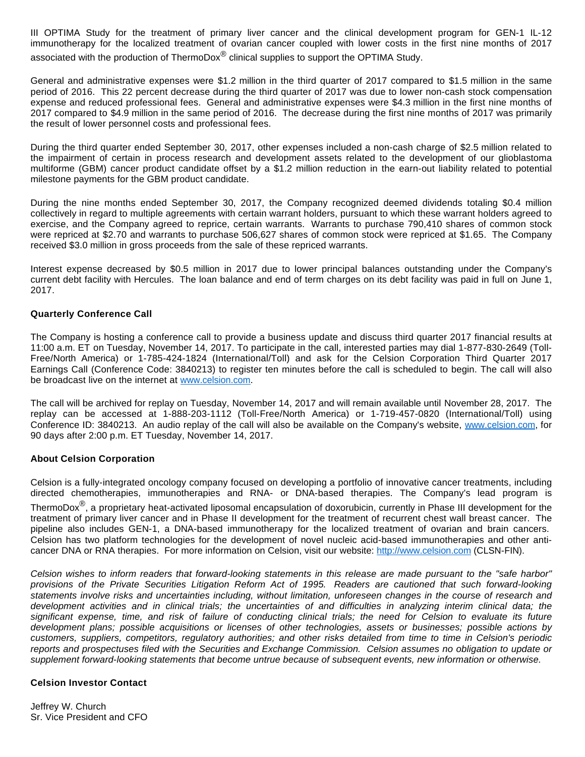III OPTIMA Study for the treatment of primary liver cancer and the clinical development program for GEN-1 IL-12 immunotherapy for the localized treatment of ovarian cancer coupled with lower costs in the first nine months of 2017 associated with the production of ThermoDox<sup>®</sup> clinical supplies to support the OPTIMA Study.

General and administrative expenses were \$1.2 million in the third quarter of 2017 compared to \$1.5 million in the same period of 2016. This 22 percent decrease during the third quarter of 2017 was due to lower non-cash stock compensation expense and reduced professional fees. General and administrative expenses were \$4.3 million in the first nine months of 2017 compared to \$4.9 million in the same period of 2016. The decrease during the first nine months of 2017 was primarily the result of lower personnel costs and professional fees.

During the third quarter ended September 30, 2017, other expenses included a non-cash charge of \$2.5 million related to the impairment of certain in process research and development assets related to the development of our glioblastoma multiforme (GBM) cancer product candidate offset by a \$1.2 million reduction in the earn-out liability related to potential milestone payments for the GBM product candidate.

During the nine months ended September 30, 2017, the Company recognized deemed dividends totaling \$0.4 million collectively in regard to multiple agreements with certain warrant holders, pursuant to which these warrant holders agreed to exercise, and the Company agreed to reprice, certain warrants. Warrants to purchase 790,410 shares of common stock were repriced at \$2.70 and warrants to purchase 506,627 shares of common stock were repriced at \$1.65. The Company received \$3.0 million in gross proceeds from the sale of these repriced warrants.

Interest expense decreased by \$0.5 million in 2017 due to lower principal balances outstanding under the Company's current debt facility with Hercules. The loan balance and end of term charges on its debt facility was paid in full on June 1, 2017.

#### **Quarterly Conference Call**

The Company is hosting a conference call to provide a business update and discuss third quarter 2017 financial results at 11:00 a.m. ET on Tuesday, November 14, 2017. To participate in the call, interested parties may dial 1-877-830-2649 (Toll-Free/North America) or 1-785-424-1824 (International/Toll) and ask for the Celsion Corporation Third Quarter 2017 Earnings Call (Conference Code: 3840213) to register ten minutes before the call is scheduled to begin. The call will also be broadcast live on the internet at [www.celsion.com](https://www.globenewswire.com/Tracker?data=gyL5cfYHYHzFIMhUU4ybW7dIIH0m9w6ZG0pwdVplEfFm6Kp6BHLlISAIr8sz6KeTFzjeaInIXMywaUqkmQsdTQ==).

The call will be archived for replay on Tuesday, November 14, 2017 and will remain available until November 28, 2017. The replay can be accessed at 1-888-203-1112 (Toll-Free/North America) or 1-719-457-0820 (International/Toll) using Conference ID: 3840213. An audio replay of the call will also be available on the Company's website, [www.celsion.com](https://www.globenewswire.com/Tracker?data=gyL5cfYHYHzFIMhUU4ybW-_aDzazaqpVTNHiq4nxdedRSrnxY3COPx_gWtAw3tLUSA8tiLBv3WH5ituSl30XCQ==), for 90 days after 2:00 p.m. ET Tuesday, November 14, 2017.

#### **About Celsion Corporation**

Celsion is a fully-integrated oncology company focused on developing a portfolio of innovative cancer treatments, including directed chemotherapies, immunotherapies and RNA- or DNA-based therapies. The Company's lead program is

ThermoDox<sup>®</sup>, a proprietary heat-activated liposomal encapsulation of doxorubicin, currently in Phase III development for the treatment of primary liver cancer and in Phase II development for the treatment of recurrent chest wall breast cancer. The pipeline also includes GEN-1, a DNA-based immunotherapy for the localized treatment of ovarian and brain cancers. Celsion has two platform technologies for the development of novel nucleic acid-based immunotherapies and other anticancer DNA or RNA therapies. For more information on Celsion, visit our website: [http://www.celsion.com](https://www.globenewswire.com/Tracker?data=RXVla5z_boFdIafIMWzI9u2iRXj1H0gIxiKzp_IanJYqmiJ7zau694d5o_CkAVzGTmxE_we5sM3iu5smhR8NUn-dJ0FhfXd4vdzg08z_gaA=) (CLSN-FIN).

Celsion wishes to inform readers that forward-looking statements in this release are made pursuant to the "safe harbor" provisions of the Private Securities Litigation Reform Act of 1995. Readers are cautioned that such forward-looking statements involve risks and uncertainties including, without limitation, unforeseen changes in the course of research and development activities and in clinical trials; the uncertainties of and difficulties in analyzing interim clinical data; the significant expense, time, and risk of failure of conducting clinical trials; the need for Celsion to evaluate its future development plans; possible acquisitions or licenses of other technologies, assets or businesses; possible actions by customers, suppliers, competitors, regulatory authorities; and other risks detailed from time to time in Celsion's periodic reports and prospectuses filed with the Securities and Exchange Commission. Celsion assumes no obligation to update or supplement forward-looking statements that become untrue because of subsequent events, new information or otherwise.

#### **Celsion Investor Contact**

Jeffrey W. Church Sr. Vice President and CFO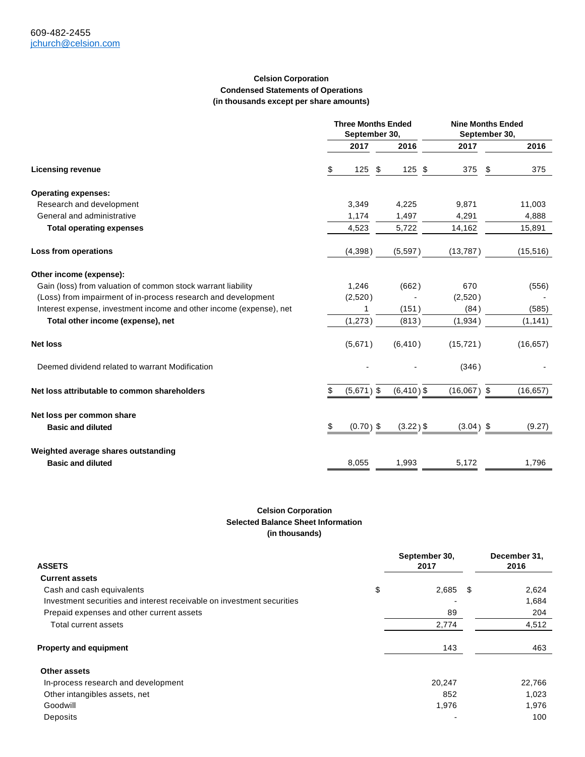#### **Celsion Corporation Condensed Statements of Operations (in thousands except per share amounts)**

|                                                                     | <b>Three Months Ended</b><br>September 30, |              |    | <b>Nine Months Ended</b><br>September 30, |               |    |           |
|---------------------------------------------------------------------|--------------------------------------------|--------------|----|-------------------------------------------|---------------|----|-----------|
|                                                                     |                                            | 2017         |    | 2016                                      | 2017          |    | 2016      |
| <b>Licensing revenue</b>                                            | \$                                         | 125          | \$ | $125$ \$                                  | 375           | \$ | 375       |
| <b>Operating expenses:</b>                                          |                                            |              |    |                                           |               |    |           |
| Research and development                                            |                                            | 3,349        |    | 4,225                                     | 9,871         |    | 11,003    |
| General and administrative                                          |                                            | 1,174        |    | 1,497                                     | 4,291         |    | 4,888     |
| <b>Total operating expenses</b>                                     |                                            | 4,523        |    | 5,722                                     | 14,162        |    | 15,891    |
| Loss from operations                                                |                                            | (4,398)      |    | (5,597)                                   | (13, 787)     |    | (15, 516) |
| Other income (expense):                                             |                                            |              |    |                                           |               |    |           |
| Gain (loss) from valuation of common stock warrant liability        |                                            | 1,246        |    | (662)                                     | 670           |    | (556)     |
| (Loss) from impairment of in-process research and development       |                                            | (2,520)      |    |                                           | (2,520)       |    |           |
| Interest expense, investment income and other income (expense), net |                                            | 1            |    | (151)                                     | (84)          |    | (585)     |
| Total other income (expense), net                                   |                                            | (1, 273)     |    | (813)                                     | (1,934)       |    | (1, 141)  |
| <b>Net loss</b>                                                     |                                            | (5,671)      |    | (6, 410)                                  | (15, 721)     |    | (16, 657) |
| Deemed dividend related to warrant Modification                     |                                            |              |    |                                           | (346)         |    |           |
| Net loss attributable to common shareholders                        | \$                                         | $(5,671)$ \$ |    | $(6, 410)$ \$                             | $(16,067)$ \$ |    | (16, 657) |
| Net loss per common share                                           |                                            |              |    |                                           |               |    |           |
| <b>Basic and diluted</b>                                            | \$                                         | $(0.70)$ \$  |    | $(3.22)$ \$                               | $(3.04)$ \$   |    | (9.27)    |
| Weighted average shares outstanding                                 |                                            |              |    |                                           |               |    |           |
| <b>Basic and diluted</b>                                            |                                            | 8,055        |    | 1,993                                     | 5,172         |    | 1,796     |

#### **Celsion Corporation Selected Balance Sheet Information (in thousands)**

| <b>ASSETS</b>                                                          | September 30,<br>2017 |  | December 31,<br>2016 |  |
|------------------------------------------------------------------------|-----------------------|--|----------------------|--|
| <b>Current assets</b>                                                  |                       |  |                      |  |
| Cash and cash equivalents                                              | \$<br>$2,685$ \$      |  | 2,624                |  |
| Investment securities and interest receivable on investment securities |                       |  | 1,684                |  |
| Prepaid expenses and other current assets                              | 89                    |  | 204                  |  |
| Total current assets                                                   | 2,774                 |  | 4,512                |  |
| <b>Property and equipment</b>                                          | 143                   |  | 463                  |  |
| <b>Other assets</b>                                                    |                       |  |                      |  |
| In-process research and development                                    | 20,247                |  | 22,766               |  |
| Other intangibles assets, net                                          | 852                   |  | 1,023                |  |
| Goodwill                                                               | 1,976                 |  | 1,976                |  |
| Deposits                                                               |                       |  | 100                  |  |